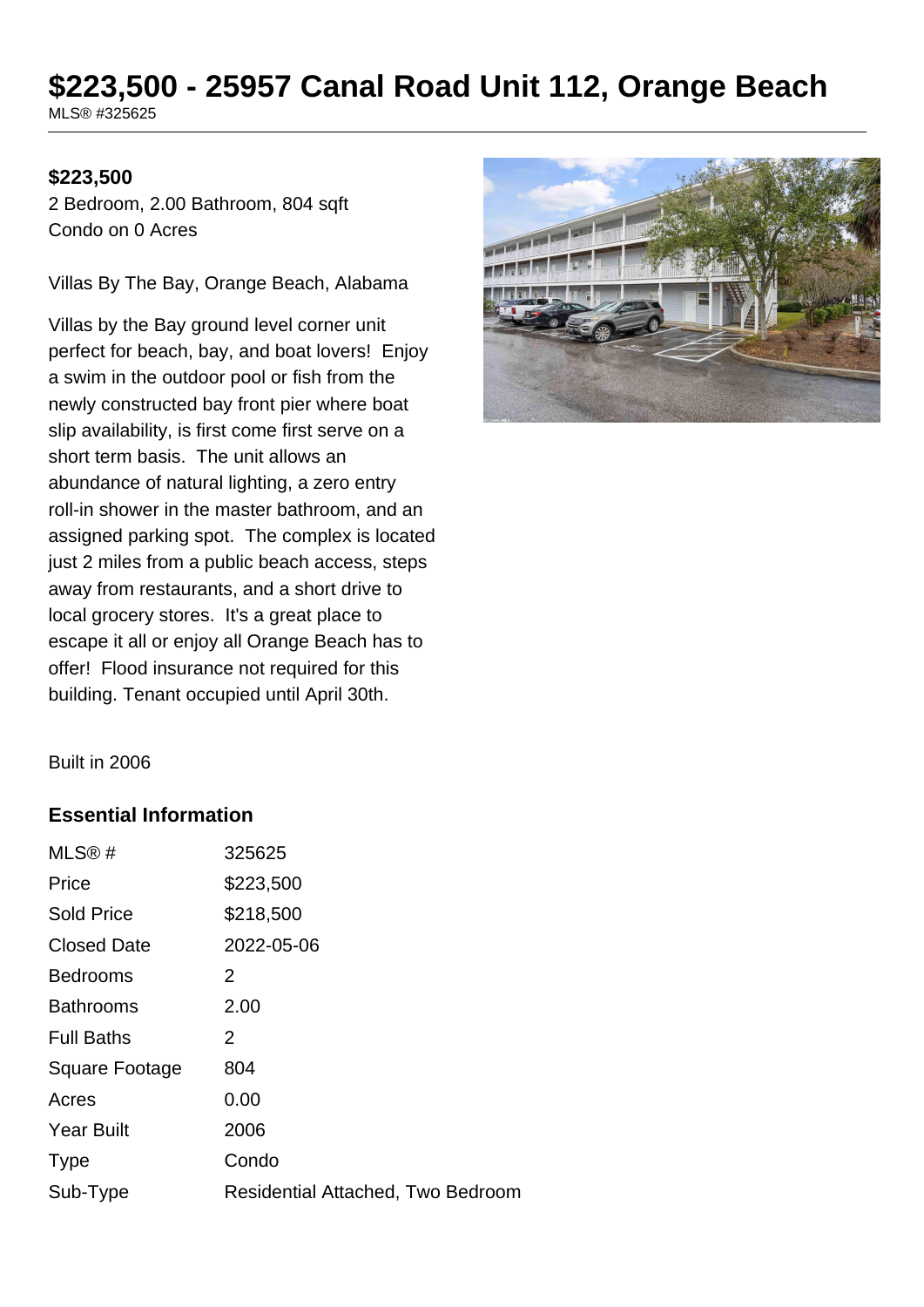# **\$223,500 - 25957 Canal Road Unit 112, Orange Beach**

MLS® #325625

#### **\$223,500**

2 Bedroom, 2.00 Bathroom, 804 sqft Condo on 0 Acres

Villas By The Bay, Orange Beach, Alabama

Villas by the Bay ground level corner unit perfect for beach, bay, and boat lovers! Enjoy a swim in the outdoor pool or fish from the newly constructed bay front pier where boat slip availability, is first come first serve on a short term basis. The unit allows an abundance of natural lighting, a zero entry roll-in shower in the master bathroom, and an assigned parking spot. The complex is located just 2 miles from a public beach access, steps away from restaurants, and a short drive to local grocery stores. It's a great place to escape it all or enjoy all Orange Beach has to offer! Flood insurance not required for this building. Tenant occupied until April 30th.



Built in 2006

#### **Essential Information**

| MLS@#                 | 325625                            |
|-----------------------|-----------------------------------|
| Price                 | \$223,500                         |
| <b>Sold Price</b>     | \$218,500                         |
| <b>Closed Date</b>    | 2022-05-06                        |
| <b>Bedrooms</b>       | 2                                 |
| <b>Bathrooms</b>      | 2.00                              |
| <b>Full Baths</b>     | 2                                 |
| <b>Square Footage</b> | 804                               |
| Acres                 | 0.00                              |
| <b>Year Built</b>     | 2006                              |
| <b>Type</b>           | Condo                             |
| Sub-Type              | Residential Attached, Two Bedroom |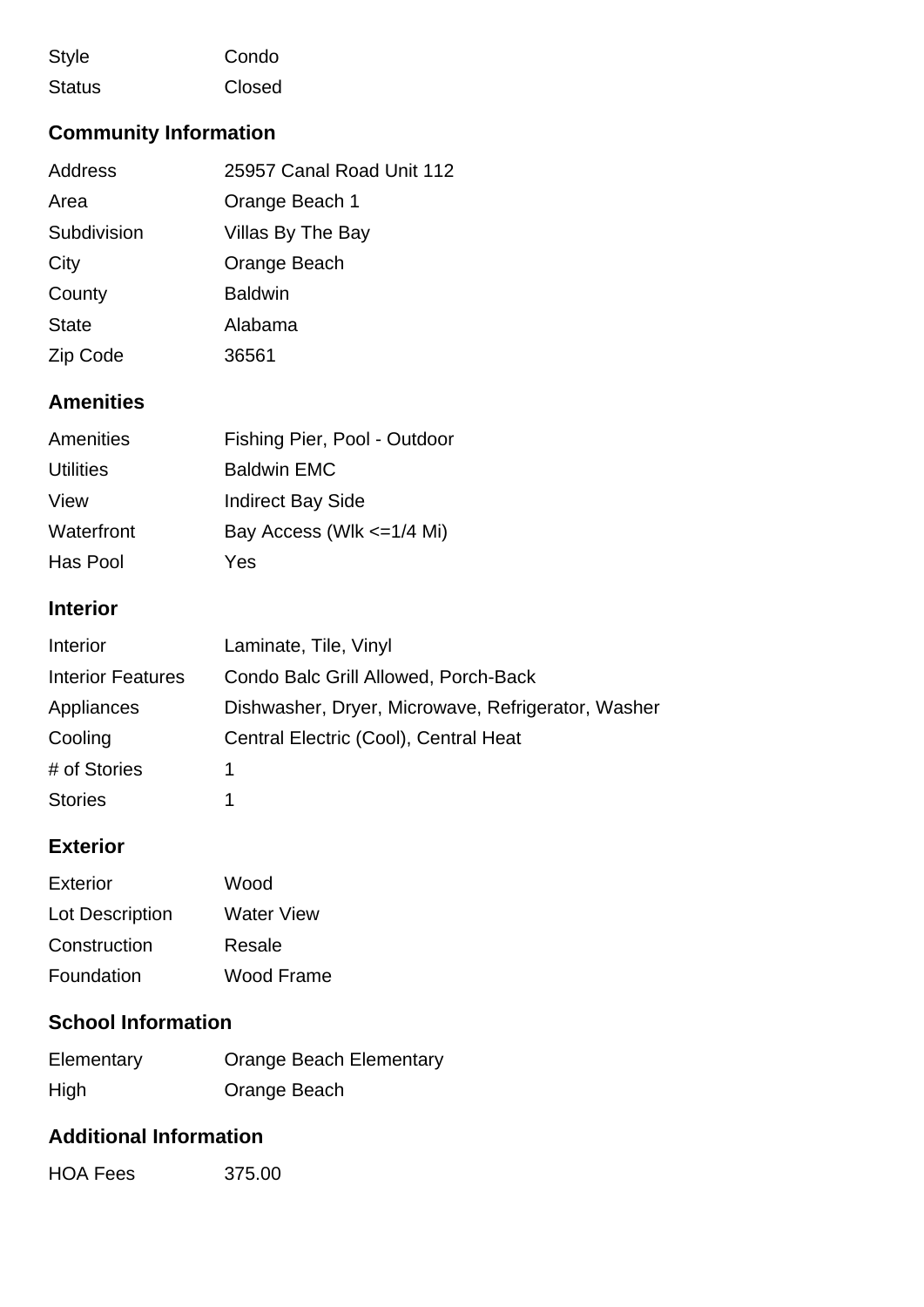| <b>Style</b>  | Condo  |
|---------------|--------|
| <b>Status</b> | Closed |

# **Community Information**

| Address      | 25957 Canal Road Unit 112 |
|--------------|---------------------------|
| Area         | Orange Beach 1            |
| Subdivision  | Villas By The Bay         |
| City         | Orange Beach              |
| County       | <b>Baldwin</b>            |
| <b>State</b> | Alabama                   |
| Zip Code     | 36561                     |

### **Amenities**

| Fishing Pier, Pool - Outdoor |
|------------------------------|
| <b>Baldwin EMC</b>           |
| <b>Indirect Bay Side</b>     |
| Bay Access (Wlk <= 1/4 Mi)   |
| Yes                          |
|                              |

#### **Interior**

| Interior                 | Laminate, Tile, Vinyl                              |
|--------------------------|----------------------------------------------------|
| <b>Interior Features</b> | Condo Balc Grill Allowed, Porch-Back               |
| Appliances               | Dishwasher, Dryer, Microwave, Refrigerator, Washer |
| Cooling                  | Central Electric (Cool), Central Heat              |
| # of Stories             |                                                    |
| <b>Stories</b>           |                                                    |

## **Exterior**

| Exterior        | Wood       |
|-----------------|------------|
| Lot Description | Water View |
| Construction    | Resale     |
| Foundation      | Wood Frame |

## **School Information**

| Elementary | <b>Orange Beach Elementary</b> |
|------------|--------------------------------|
| High       | Orange Beach                   |

## **Additional Information**

| <b>HOA Fees</b> | 375.00 |
|-----------------|--------|
|-----------------|--------|